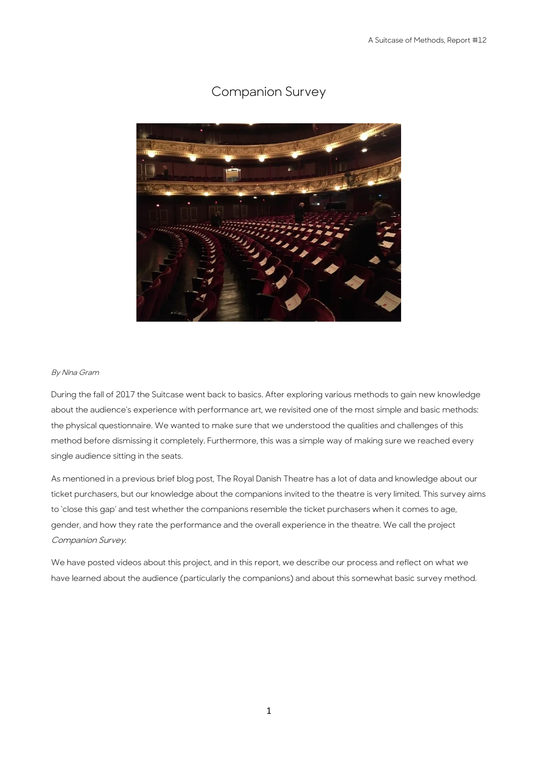

# Companion Survey

#### By Nina Gram

During the fall of 2017 the Suitcase went back to basics. After exploring various methods to gain new knowledge about the audience's experience with performance art, we revisited one of the most simple and basic methods: the physical questionnaire. We wanted to make sure that we understood the qualities and challenges of this method before dismissing it completely. Furthermore, this was a simple way of making sure we reached every single audience sitting in the seats.

As mentioned in a previous brief blog post, The Royal Danish Theatre has a lot of data and knowledge about our ticket purchasers, but our knowledge about the companions invited to the theatre is very limited. This survey aims to 'close this gap' and test whether the companions resemble the ticket purchasers when it comes to age, gender, and how they rate the performance and the overall experience in the theatre. We call the project Companion Survey.

We have posted videos about this project, and in this report, we describe our process and reflect on what we have learned about the audience (particularly the companions) and about this somewhat basic survey method.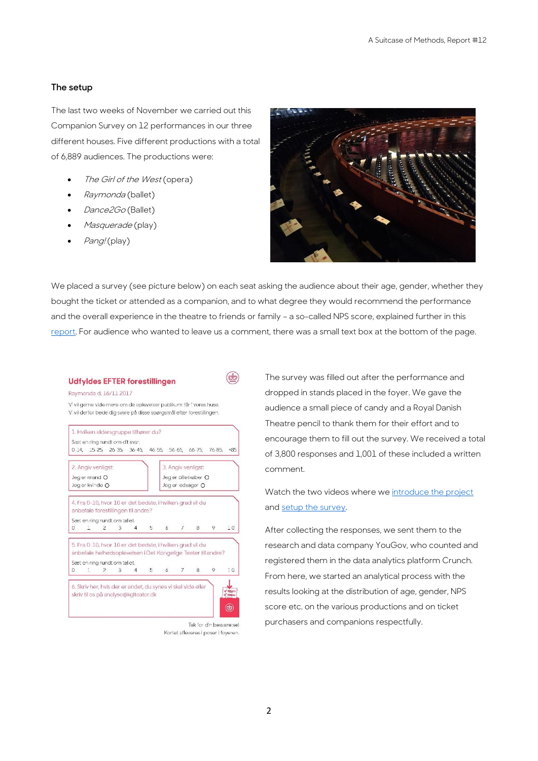#### **The setup**

The last two weeks of November we carried out this Companion Survey on 12 performances in our three different houses. Five different productions with a total of 6,889 audiences. The productions were:

- The Girl of the West (opera)
- Raymonda (ballet)
- Dance<sub>2Go</sub> (Ballet)
- Masquerade (play)
- Pang! (play)



We placed a survey (see picture below) on each seat asking the audience about their age, gender, whether they bought the ticket or attended as a companion, and to what degree they would recommend the performance and the overall experience in the theatre to friends or family – a so-called NPS score, explained further in this [report.](https://asuitcaseofmethods.files.wordpress.com/2017/10/report-11-systemic-evaluation1.pdf) For audience who wanted to leave us a comment, there was a small text box at the bottom of the page.

 $\left(\frac{1}{2}\right)$ 

#### **Udfyldes EFTER forestillingen**

Raymonda d. 16/11 2017

Vi vil gerne vide mere om de oplevelser publikum får i vores huse. Vi vil derfor bede dia svare på disse soørgsmål efter forestillingen.



Tak for din besvarelsel Kortet afleveres i poser i foveren.

The survey was filled out after the performance and dropped in stands placed in the foyer. We gave the audience a small piece of candy and a Royal Danish Theatre pencil to thank them for their effort and to encourage them to fill out the survey. We received a total of 3,800 responses and 1,001 of these included a written comment.

Watch the two videos where we [introduce the project](https://www.youtube.com/watch?v=ZGRGb_z0lFE&t=3s) an[d setup the survey.](https://www.youtube.com/watch?v=V4yYle7y0Ro)

After collecting the responses, we sent them to the research and data company YouGov, who counted and registered them in the data analytics platform Crunch. From here, we started an analytical process with the results looking at the distribution of age, gender, NPS score etc. on the various productions and on ticket purchasers and companions respectfully.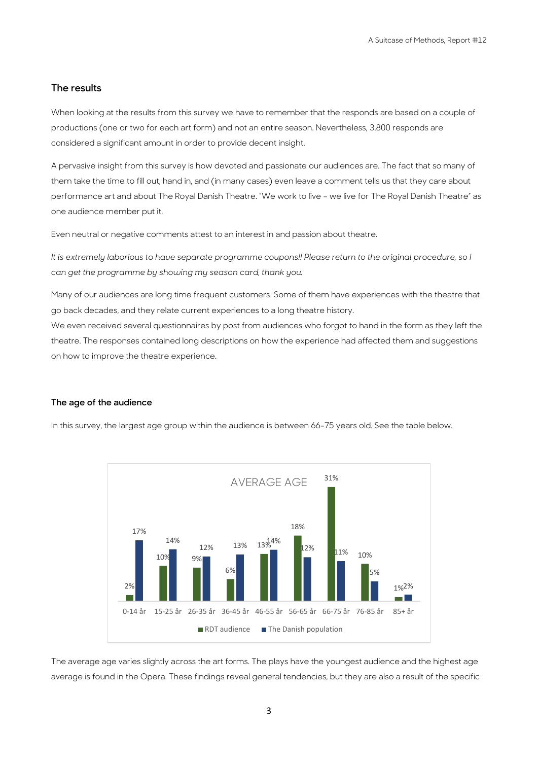## **The results**

When looking at the results from this survey we have to remember that the responds are based on a couple of productions (one or two for each art form) and not an entire season. Nevertheless, 3,800 responds are considered a significant amount in order to provide decent insight.

A pervasive insight from this survey is how devoted and passionate our audiences are. The fact that so many of them take the time to fill out, hand in, and (in many cases) even leave a comment tells us that they care about performance art and about The Royal Danish Theatre. "We work to live – we live for The Royal Danish Theatre" as one audience member put it.

Even neutral or negative comments attest to an interest in and passion about theatre.

*It is extremely laborious to have separate programme coupons!! Please return to the original procedure, so I can get the programme by showing my season card, thank you.* 

Many of our audiences are long time frequent customers. Some of them have experiences with the theatre that go back decades, and they relate current experiences to a long theatre history.

We even received several questionnaires by post from audiences who forgot to hand in the form as they left the theatre. The responses contained long descriptions on how the experience had affected them and suggestions on how to improve the theatre experience.

#### **The age of the audience**

In this survey, the largest age group within the audience is between 66-75 years old. See the table below.



The average age varies slightly across the art forms. The plays have the youngest audience and the highest age average is found in the Opera. These findings reveal general tendencies, but they are also a result of the specific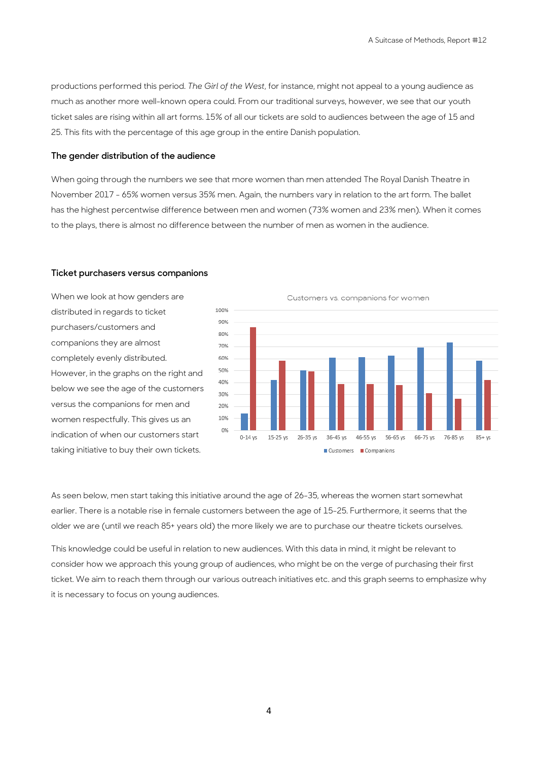productions performed this period. *The Girl of the West*, for instance, might not appeal to a young audience as much as another more well-known opera could. From our traditional surveys, however, we see that our youth ticket sales are rising within all art forms. 15% of all our tickets are sold to audiences between the age of 15 and 25. This fits with the percentage of this age group in the entire Danish population.

### **The gender distribution of the audience**

When going through the numbers we see that more women than men attended The Royal Danish Theatre in November 2017 - 65% women versus 35% men. Again, the numbers vary in relation to the art form. The ballet has the highest percentwise difference between men and women (73% women and 23% men). When it comes to the plays, there is almost no difference between the number of men as women in the audience.

#### **Ticket purchasers versus companions**

When we look at how genders are distributed in regards to ticket purchasers/customers and companions they are almost completely evenly distributed. However, in the graphs on the right and below we see the age of the customers versus the companions for men and women respectfully. This gives us an indication of when our customers start taking initiative to buy their own tickets.



Customers vs. companions for women

As seen below, men start taking this initiative around the age of 26-35, whereas the women start somewhat earlier. There is a notable rise in female customers between the age of 15-25. Furthermore, it seems that the older we are (until we reach 85+ years old) the more likely we are to purchase our theatre tickets ourselves.

This knowledge could be useful in relation to new audiences. With this data in mind, it might be relevant to consider how we approach this young group of audiences, who might be on the verge of purchasing their first ticket. We aim to reach them through our various outreach initiatives etc. and this graph seems to emphasize why it is necessary to focus on young audiences.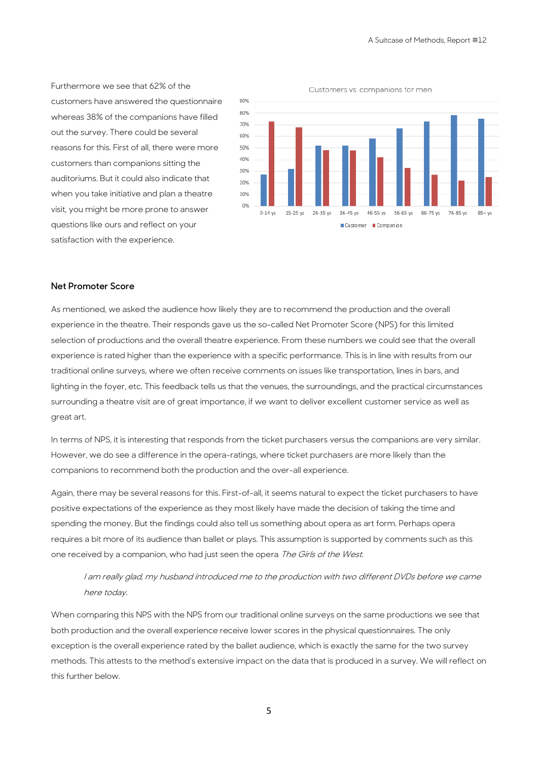Furthermore we see that 62% of the customers have answered the questionnaire whereas 38% of the companions have filled out the survey. There could be several reasons for this. First of all, there were more customers than companions sitting the auditoriums. But it could also indicate that when you take initiative and plan a theatre visit, you might be more prone to answer questions like ours and reflect on your satisfaction with the experience.

Customers vs. companions for men



## **Net Promoter Score**

As mentioned, we asked the audience how likely they are to recommend the production and the overall experience in the theatre. Their responds gave us the so-called Net Promoter Score (NPS) for this limited selection of productions and the overall theatre experience. From these numbers we could see that the overall experience is rated higher than the experience with a specific performance. This is in line with results from our traditional online surveys, where we often receive comments on issues like transportation, lines in bars, and lighting in the foyer, etc. This feedback tells us that the venues, the surroundings, and the practical circumstances surrounding a theatre visit are of great importance, if we want to deliver excellent customer service as well as great art.

In terms of NPS, it is interesting that responds from the ticket purchasers versus the companions are very similar. However, we do see a difference in the opera-ratings, where ticket purchasers are more likely than the companions to recommend both the production and the over-all experience.

Again, there may be several reasons for this. First-of-all, it seems natural to expect the ticket purchasers to have positive expectations of the experience as they most likely have made the decision of taking the time and spending the money. But the findings could also tell us something about opera as art form. Perhaps opera requires a bit more of its audience than ballet or plays. This assumption is supported by comments such as this one received by a companion, who had just seen the opera The Girls of the West.

I am really glad, my husband introduced me to the production with two different DVDs before we came here today.

When comparing this NPS with the NPS from our traditional online surveys on the same productions we see that both production and the overall experience receive lower scores in the physical questionnaires. The only exception is the overall experience rated by the ballet audience, which is exactly the same for the two survey methods. This attests to the method's extensive impact on the data that is produced in a survey. We will reflect on this further below.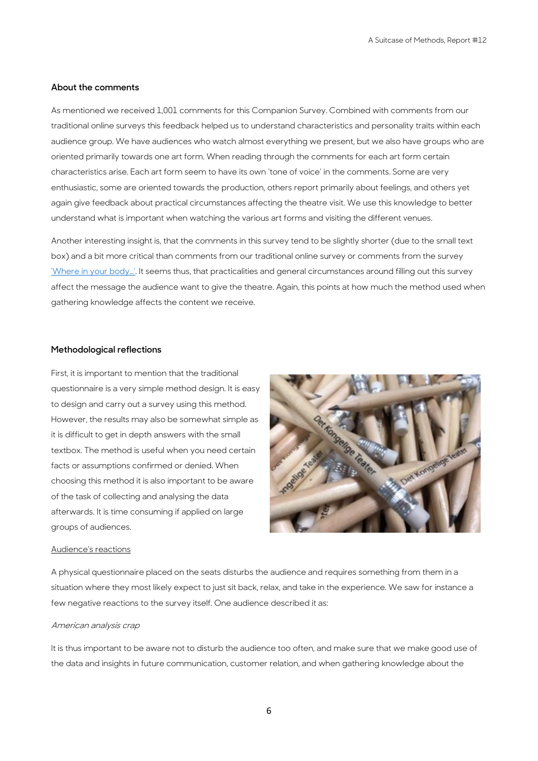## **About the comments**

As mentioned we received 1,001 comments for this Companion Survey. Combined with comments from our traditional online surveys this feedback helped us to understand characteristics and personality traits within each audience group. We have audiences who watch almost everything we present, but we also have groups who are oriented primarily towards one art form. When reading through the comments for each art form certain characteristics arise. Each art form seem to have its own 'tone of voice' in the comments. Some are very enthusiastic, some are oriented towards the production, others report primarily about feelings, and others yet again give feedback about practical circumstances affecting the theatre visit. We use this knowledge to better understand what is important when watching the various art forms and visiting the different venues.

Another interesting insight is, that the comments in this survey tend to be slightly shorter (due to the small text box) and a bit more critical than comments from our traditional online survey or comments from the survey ['Where in your body…'](https://asuitcaseofmethods.files.wordpress.com/2017/09/report-10-when-we-ask-about-your-body.pdf). It seems thus, that practicalities and general circumstances around filling out this survey affect the message the audience want to give the theatre. Again, this points at how much the method used when gathering knowledge affects the content we receive.

### **Methodological reflections**

First, it is important to mention that the traditional questionnaire is a very simple method design. It is easy to design and carry out a survey using this method. However, the results may also be somewhat simple as it is difficult to get in depth answers with the small textbox. The method is useful when you need certain facts or assumptions confirmed or denied. When choosing this method it is also important to be aware of the task of collecting and analysing the data afterwards. It is time consuming if applied on large groups of audiences.



#### Audience's reactions

A physical questionnaire placed on the seats disturbs the audience and requires something from them in a situation where they most likely expect to just sit back, relax, and take in the experience. We saw for instance a few negative reactions to the survey itself. One audience described it as:

#### American analysis crap

It is thus important to be aware not to disturb the audience too often, and make sure that we make good use of the data and insights in future communication, customer relation, and when gathering knowledge about the